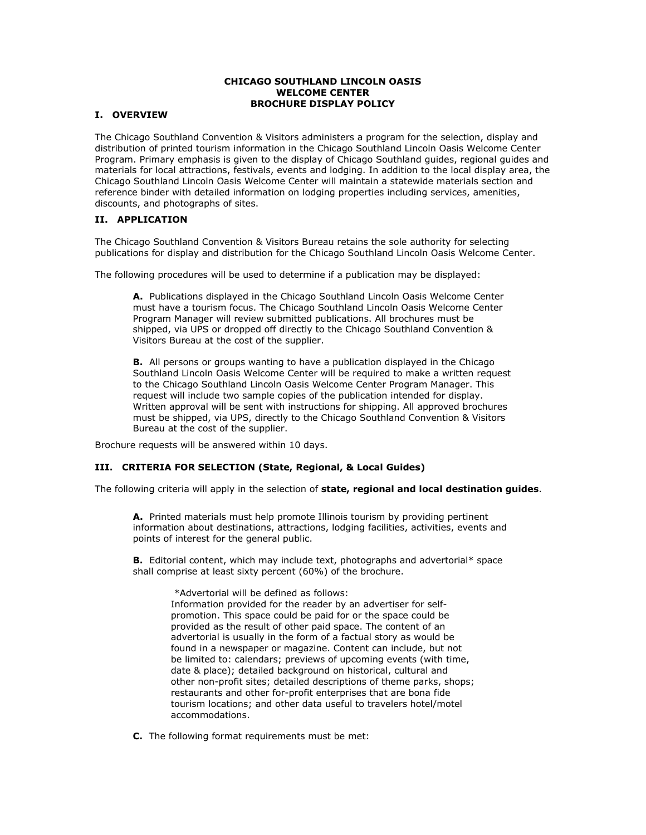### **CHICAGO SOUTHLAND LINCOLN OASIS WELCOME CENTER BROCHURE DISPLAY POLICY**

## **I. OVERVIEW**

The Chicago Southland Convention & Visitors administers a program for the selection, display and distribution of printed tourism information in the Chicago Southland Lincoln Oasis Welcome Center Program. Primary emphasis is given to the display of Chicago Southland guides, regional guides and materials for local attractions, festivals, events and lodging. In addition to the local display area, the Chicago Southland Lincoln Oasis Welcome Center will maintain a statewide materials section and reference binder with detailed information on lodging properties including services, amenities, discounts, and photographs of sites.

## **II. APPLICATION**

The Chicago Southland Convention & Visitors Bureau retains the sole authority for selecting publications for display and distribution for the Chicago Southland Lincoln Oasis Welcome Center.

The following procedures will be used to determine if a publication may be displayed:

**A.** Publications displayed in the Chicago Southland Lincoln Oasis Welcome Center must have a tourism focus. The Chicago Southland Lincoln Oasis Welcome Center Program Manager will review submitted publications. All brochures must be shipped, via UPS or dropped off directly to the Chicago Southland Convention & Visitors Bureau at the cost of the supplier.

**B.** All persons or groups wanting to have a publication displayed in the Chicago Southland Lincoln Oasis Welcome Center will be required to make a written request to the Chicago Southland Lincoln Oasis Welcome Center Program Manager. This request will include two sample copies of the publication intended for display. Written approval will be sent with instructions for shipping. All approved brochures must be shipped, via UPS, directly to the Chicago Southland Convention & Visitors Bureau at the cost of the supplier.

Brochure requests will be answered within 10 days.

### **III. CRITERIA FOR SELECTION (State, Regional, & Local Guides)**

The following criteria will apply in the selection of **state, regional and local destination guides**.

**A.** Printed materials must help promote Illinois tourism by providing pertinent information about destinations, attractions, lodging facilities, activities, events and points of interest for the general public.

**B.** Editorial content, which may include text, photographs and advertorial\* space shall comprise at least sixty percent (60%) of the brochure.

 \*Advertorial will be defined as follows: Information provided for the reader by an advertiser for selfpromotion. This space could be paid for or the space could be provided as the result of other paid space. The content of an advertorial is usually in the form of a factual story as would be found in a newspaper or magazine. Content can include, but not be limited to: calendars; previews of upcoming events (with time, date & place); detailed background on historical, cultural and other non-profit sites; detailed descriptions of theme parks, shops; restaurants and other for-profit enterprises that are bona fide tourism locations; and other data useful to travelers hotel/motel accommodations.

**C.** The following format requirements must be met: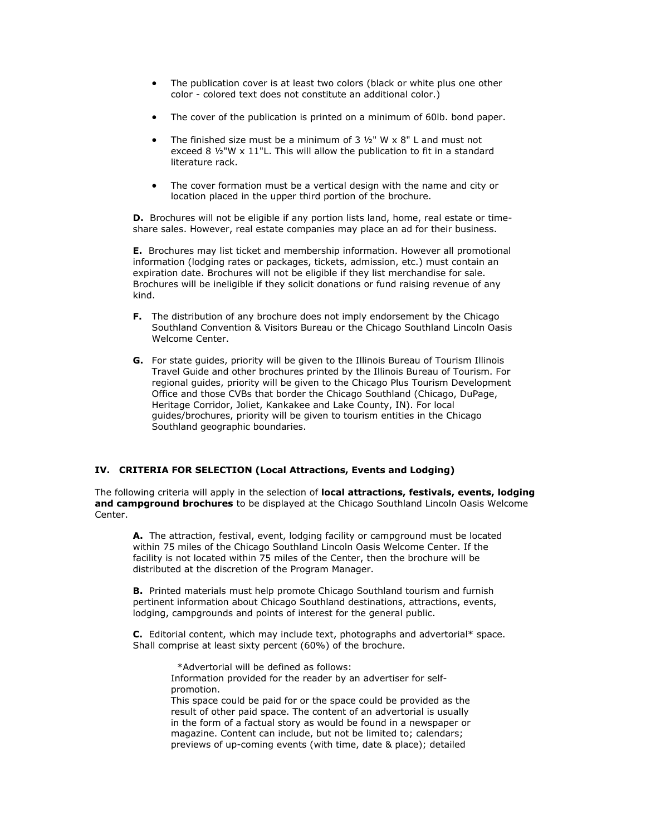- The publication cover is at least two colors (black or white plus one other color - colored text does not constitute an additional color.)
- The cover of the publication is printed on a minimum of 60lb. bond paper.
- The finished size must be a minimum of  $3 \frac{1}{2}$ " W x 8" L and must not exceed 8 ½"W x 11"L. This will allow the publication to fit in a standard literature rack.
- The cover formation must be a vertical design with the name and city or location placed in the upper third portion of the brochure.

**D.** Brochures will not be eligible if any portion lists land, home, real estate or timeshare sales. However, real estate companies may place an ad for their business.

**E.** Brochures may list ticket and membership information. However all promotional information (lodging rates or packages, tickets, admission, etc.) must contain an expiration date. Brochures will not be eligible if they list merchandise for sale. Brochures will be ineligible if they solicit donations or fund raising revenue of any kind.

- **F.** The distribution of any brochure does not imply endorsement by the Chicago Southland Convention & Visitors Bureau or the Chicago Southland Lincoln Oasis Welcome Center.
- **G.** For state guides, priority will be given to the Illinois Bureau of Tourism Illinois Travel Guide and other brochures printed by the Illinois Bureau of Tourism. For regional guides, priority will be given to the Chicago Plus Tourism Development Office and those CVBs that border the Chicago Southland (Chicago, DuPage, Heritage Corridor, Joliet, Kankakee and Lake County, IN). For local guides/brochures, priority will be given to tourism entities in the Chicago Southland geographic boundaries.

# **IV. CRITERIA FOR SELECTION (Local Attractions, Events and Lodging)**

The following criteria will apply in the selection of **local attractions, festivals, events, lodging and campground brochures** to be displayed at the Chicago Southland Lincoln Oasis Welcome Center.

**A.** The attraction, festival, event, lodging facility or campground must be located within 75 miles of the Chicago Southland Lincoln Oasis Welcome Center. If the facility is not located within 75 miles of the Center, then the brochure will be distributed at the discretion of the Program Manager.

**B.** Printed materials must help promote Chicago Southland tourism and furnish pertinent information about Chicago Southland destinations, attractions, events, lodging, campgrounds and points of interest for the general public.

**C.** Editorial content, which may include text, photographs and advertorial\* space. Shall comprise at least sixty percent (60%) of the brochure.

\*Advertorial will be defined as follows:

Information provided for the reader by an advertiser for selfpromotion.

This space could be paid for or the space could be provided as the result of other paid space. The content of an advertorial is usually in the form of a factual story as would be found in a newspaper or magazine. Content can include, but not be limited to; calendars; previews of up-coming events (with time, date & place); detailed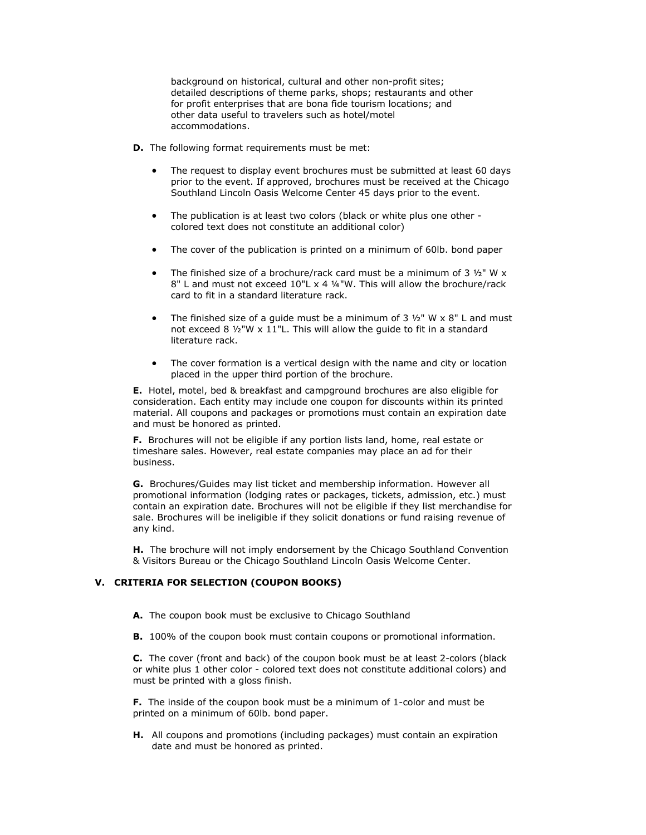background on historical, cultural and other non-profit sites; detailed descriptions of theme parks, shops; restaurants and other for profit enterprises that are bona fide tourism locations; and other data useful to travelers such as hotel/motel accommodations.

- **D.** The following format requirements must be met:
	- The request to display event brochures must be submitted at least 60 days prior to the event. If approved, brochures must be received at the Chicago Southland Lincoln Oasis Welcome Center 45 days prior to the event.
	- The publication is at least two colors (black or white plus one other colored text does not constitute an additional color)
	- The cover of the publication is printed on a minimum of 60lb. bond paper
	- The finished size of a brochure/rack card must be a minimum of 3  $1/2$ " W x 8" L and must not exceed 10"L x 4 ¼"W. This will allow the brochure/rack card to fit in a standard literature rack.
	- The finished size of a quide must be a minimum of  $3 \frac{1}{2}$ " W  $\times$  8" L and must not exceed 8 ½"W x 11"L. This will allow the guide to fit in a standard literature rack.
	- The cover formation is a vertical design with the name and city or location placed in the upper third portion of the brochure.

**E.** Hotel, motel, bed & breakfast and campground brochures are also eligible for consideration. Each entity may include one coupon for discounts within its printed material. All coupons and packages or promotions must contain an expiration date and must be honored as printed.

**F.** Brochures will not be eligible if any portion lists land, home, real estate or timeshare sales. However, real estate companies may place an ad for their business.

**G.** Brochures/Guides may list ticket and membership information. However all promotional information (lodging rates or packages, tickets, admission, etc.) must contain an expiration date. Brochures will not be eligible if they list merchandise for sale. Brochures will be ineligible if they solicit donations or fund raising revenue of any kind.

**H.** The brochure will not imply endorsement by the Chicago Southland Convention & Visitors Bureau or the Chicago Southland Lincoln Oasis Welcome Center.

# **V. CRITERIA FOR SELECTION (COUPON BOOKS)**

- **A.** The coupon book must be exclusive to Chicago Southland
- **B.** 100% of the coupon book must contain coupons or promotional information.

**C.** The cover (front and back) of the coupon book must be at least 2-colors (black or white plus 1 other color - colored text does not constitute additional colors) and must be printed with a gloss finish.

**F.** The inside of the coupon book must be a minimum of 1-color and must be printed on a minimum of 60lb. bond paper.

**H.** All coupons and promotions (including packages) must contain an expiration date and must be honored as printed.